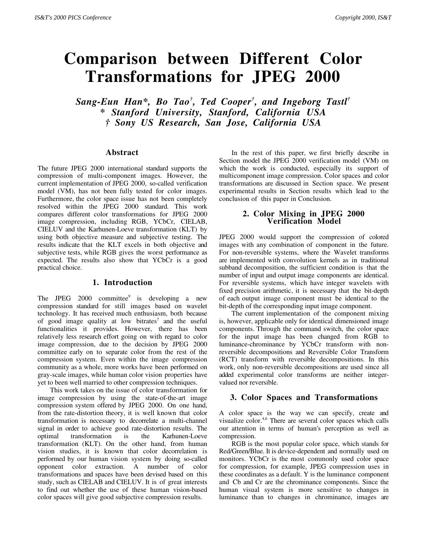# **Comparison between Different Color Transformations for JPEG 2000**

*Sang-Eun Han\*, Bo Tao† , Ted Cooper† , and Ingeborg Tastl† \* Stanford University, Stanford, California USA † Sony US Research, San Jose, California USA*

#### **Abstract**

The future JPEG 2000 international standard supports the compression of multi-component images. However, the current implementation of JPEG 2000, so-called verification model (VM), has not been fully tested for color images. Furthermore, the color space issue has not been completely resolved within the JPEG 2000 standard. This work compares different color transformations for JPEG 2000 image compression, including RGB, YCbCr, CIELAB, CIELUV and the Karhunen-Loeve transformation (KLT) by using both objective measure and subjective testing. The results indicate that the KLT excels in both objective and subjective tests, while RGB gives the worst performance as expected. The results also show that YCbCr is a good practical choice.

## **1. Introduction**

The JPEG 2000 committee<sup>9</sup> is developing a new compression standard for still images based on wavelet technology. It has received much enthusiasm, both because of good image quality at low bitrates<sup>7</sup> and the useful functionalities it provides. However, there has been relatively less research effort going on with regard to color image compression, due to the decision by JPEG 2000 committee early on to separate color from the rest of the compression system. Even within the image compression community as a whole, more works have been performed on gray-scale images, while human color vision properties have yet to been well married to other compression techniques.

This work takes on the issue of color transformation for image compression by using the state-of-the-art image compression system offered by JPEG 2000. On one hand, from the rate-distortion theory, it is well known that color transformation is necessary to decorrelate a multi-channel signal in order to achieve good rate-distortion results. The optimal transformation is the Karhunen-Loeve transformation (KLT). On the other hand, from human vision studies, it is known that color decorrelation is performed by our human vision system by doing so-called opponent color extraction. A number of color transformations and spaces have been devised based on this study, such as CIELAB and CIELUV. It is of great interests to find out whether the use of these human vision-based color spaces will give good subjective compression results.

In the rest of this paper, we first briefly describe in Section model the JPEG 2000 verification model (VM) on which the work is conducted, especially its support of multicomponent image compression. Color spaces and color transformations are discussed in Section space. We present experimental results in Section results which lead to the conclusion of this paper in Conclusion.

## **2. Color Mixing in JPEG 2000 Verification Model**

JPEG 2000 would support the compression of colored images with any combination of component in the future. For non-reversible systems, where the Wavelet transforms are implemented with convolution kernels as in traditional subband decomposition, the sufficient condition is that the number of input and output image components are identical. For reversible systems, which have integer wavelets with fixed precision arithmetic, it is necessary that the bit-depth of each output image component must be identical to the bit-depth of the corresponding input image component.

The current implementation of the component mixing is, however, applicable only for identical dimensioned image components. Through the command switch, the color space for the input image has been changed from RGB to luminance-chrominance by YCbCr transform with nonreversible decompositions and Reversible Color Transform (RCT) transform with reversible decompositions. In this work, only non-reversible decompositions are used since all added experimental color transforms are neither integervalued nor reversible.

# **3. Color Spaces and Transformations**

A color space is the way we can specify, create and visualize color.<sup>4,6</sup> There are several color spaces which calls our attention in terms of human's perception as well as compression.

RGB is the most popular color space, which stands for Red/Green/Blue. It is device-dependent and normally used on monitors. YCbCr is the most commonly used color space for compression, for example, JPEG compression uses in these coordinates as a default. Y is the luminance component and Cb and Cr are the chrominance components. Since the human visual system is more sensitive to changes in luminance than to changes in chrominance, images are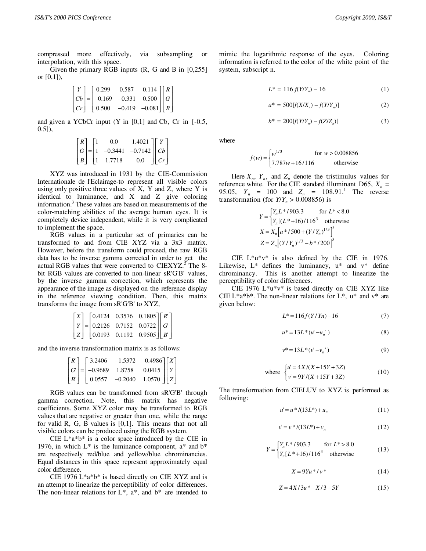compressed more effectively, via subsampling or interpolation, with this space.

Given the primary RGB inputs (R, G and B in [0,255] or [0,1]),

$$
\begin{bmatrix} Y \\ Cb \\ Cr \end{bmatrix} = \begin{bmatrix} 0.299 & 0.587 & 0.114 \\ -0.169 & -0.331 & 0.500 \\ 0.500 & -0.419 & -0.081 \end{bmatrix} \begin{bmatrix} R \\ G \\ B \end{bmatrix}
$$

and given a YCbCr input  $(Y \text{ in } [0,1]$  and Cb, Cr in  $[-0.5,$  $(0.5]$ ,

$$
\begin{bmatrix} R \\ G \\ B \end{bmatrix} = \begin{bmatrix} 1 & 0.0 & 1.4021 \\ 1 & -0.3441 & -0.7142 \\ 1 & 1.7718 & 0.0 \end{bmatrix} \begin{bmatrix} Y \\ Cb \\ Cr \end{bmatrix}
$$

XYZ was introduced in 1931 by the CIE-Commission Internationale de l'Eclairage-to represent all visible colors using only positive three values of  $X$ ,  $Y$  and  $Z$ , where  $Y$  is identical to luminance, and X and Z give coloring information.3 These values are based on measurements of the color-matching abilities of the average human eyes. It is completely device independent, while it is very complicated to implement the space.

RGB values in a particular set of primaries can be transformed to and from CIE XYZ via a 3x3 matrix. However, before the transform could proceed, the raw RGB data has to be inverse gamma corrected in order to get the actual RGB values that were converted to  $CIEXYZ$ .<sup>2</sup> The 8bit RGB values are converted to non-linear sR'G'B' values, by the inverse gamma correction, which represents the appearance of the image as displayed on the reference display in the reference viewing condition. Then, this matrix transforms the image from sR'G'B' to XYZ,

$$
\begin{bmatrix} X \ Y \ Z \end{bmatrix} = \begin{bmatrix} 0.4124 & 0.3576 & 0.1805 \\ 0.2126 & 0.7152 & 0.0722 \\ 0.0193 & 0.1192 & 0.9505 \end{bmatrix} \begin{bmatrix} R \\ G \\ B \end{bmatrix}
$$

and the inverse transformation matrix is as follows:

|  | $\begin{bmatrix} R \\ G \\ B \end{bmatrix} = \begin{bmatrix} 3.2406 & -1.5372 & -0.4986 \\ -0.9689 & 1.8758 & 0.0415 \\ 0.0557 & -0.2040 & 1.0570 \end{bmatrix} \begin{bmatrix} X \\ Y \\ Z \end{bmatrix}$ |  |
|--|------------------------------------------------------------------------------------------------------------------------------------------------------------------------------------------------------------|--|
|  |                                                                                                                                                                                                            |  |

RGB values can be transformed from sR'G'B' through gamma correction. Note, this matrix has negative coefficients. Some XYZ color may be transformed to RGB values that are negative or greater than one, while the range for valid R, G, B values is [0,1]. This means that not all visible colors can be produced using the RGB system.

CIE  $L^*a^*b^*$  is a color space introduced by the CIE in 1976, in which  $L^*$  is the luminance component,  $a^*$  and  $b^*$ are respectively red/blue and yellow/blue chrominancies. Equal distances in this space represent approximately equal color difference.

CIE 1976 L\*a\*b\* is based directly on CIE XYZ and is an attempt to linearize the perceptibility of color differences. The non-linear relations for  $L^*$ ,  $a^*$ , and  $b^*$  are intended to mimic the logarithmic response of the eyes. Coloring information is referred to the color of the white point of the system, subscript n.

$$
L^* = 116 f(Y/Y_n) - 16 \tag{1}
$$

$$
a^* = 500[f(X/X_n) - f(Y/Y_n)]
$$
 (2)

$$
b^* = 200[f(Y/Y_n) - f(Z/Z_n)] \tag{3}
$$

where

$$
f(w) = \begin{cases} w^{1/3} & \text{for } w > 0.008856\\ 7.787w + 16/116 & \text{otherwise} \end{cases}
$$

Here  $X_n$ ,  $Y_n$ , and  $Z_n$  denote the tristimulus values for reference white. For the CIE standard illuminant D65,  $X_n =$ 95.05,  $Y_n = 100$  and  $Z_n = 108.91$ .<sup>1</sup> The reverse transformation (for  $Y/Y_n > 0.008856$ ) is

$$
Y = \begin{cases} Y_n L^* / 903.3 & \text{for } L^* < 8.0 \\ Y_n [(L^* + 16) / 116^3 & \text{otherwise} \end{cases}
$$
  

$$
X = X_n \Big[ a^* / 500 + (Y/Y_n)^{1/3} \Big]^3
$$
  

$$
Z = Z_n \Big[ (Y/Y_n)^{1/3} - b^* / 200 \Big]^3
$$

CIE L\*u\*v\* is also defined by the CIE in 1976. Likewise,  $L^*$  defines the luminancy,  $u^*$  and  $v^*$  define chrominancy. This is another attempt to linearize the perceptibility of color differences.

CIE 1976 L\*u\*v\* is based directly on CIE XYZ like CIE L\*a\*b\*. The non-linear relations for L\*,  $u^*$  and  $v^*$  are given below:

$$
L^* = 116f(Y/Yn) - 16\tag{7}
$$

$$
u^* = 13L^*(u' - u'_n) \tag{8}
$$

$$
v^* = 13L^*(v' - v_n')
$$
 (9)

where 
$$
\begin{cases} u' = 4X/(X+15Y+3Z) \\ v' = 9Y/(X+15Y+3Z) \end{cases}
$$
 (10)

The transformation from CIELUV to XYZ is performed as following:

$$
u' = u * / (13L*) + u_n \tag{11}
$$

$$
v' = v * / (13L*) + v_n \tag{12}
$$

$$
Y = \begin{cases} Y_n L^* / 903.3 & \text{for } L^* > 8.0\\ Y_n [L^* + 16) / 116^3 & \text{otherwise} \end{cases}
$$
(13)

$$
X = 9Yu* / v* \tag{14}
$$

$$
Z = 4X/3u^* - X/3 - 5Y
$$
 (15)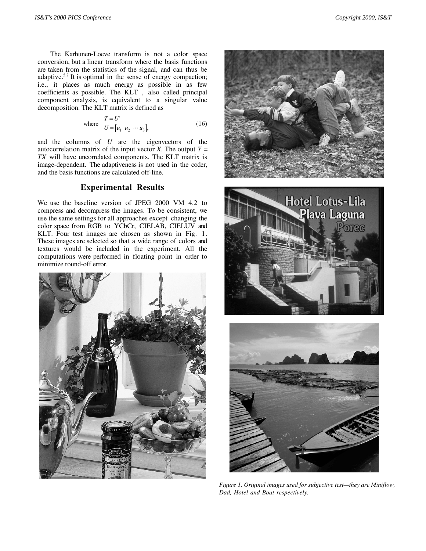The Karhunen-Loeve transform is not a color space conversion, but a linear transform where the basis functions are taken from the statistics of the signal, and can thus be adaptive.<sup>5,7</sup> It is optimal in the sense of energy compaction; i.e., it places as much energy as possible in as few coefficients as possible. The KLT , also called principal component analysis, is equivalent to a singular value decomposition. The KLT matrix is defined as

where 
$$
T = U
$$

$$
U = [u_1 \ u_2 \cdots u_3],
$$
 (16)

and the columns of *U* are the eigenvectors of the autocorrelation matrix of the input vector *X*. The output  $Y =$ *TX* will have uncorrelated components. The KLT matrix is image-dependent. The adaptiveness is not used in the coder, and the basis functions are calculated off-line.

#### **Experimental Results**

We use the baseline version of JPEG 2000 VM 4.2 to compress and decompress the images. To be consistent, we use the same settings for all approaches except changing the color space from RGB to YCbCr, CIELAB, CIELUV and KLT. Four test images are chosen as shown in Fig. 1. These images are selected so that a wide range of colors and textures would be included in the experiment. All the computations were performed in floating point in order to minimize round-off error.







*Figure 1. Original images used for subjective test—they are Miniflow, Dad, Hotel and Boat respectively.*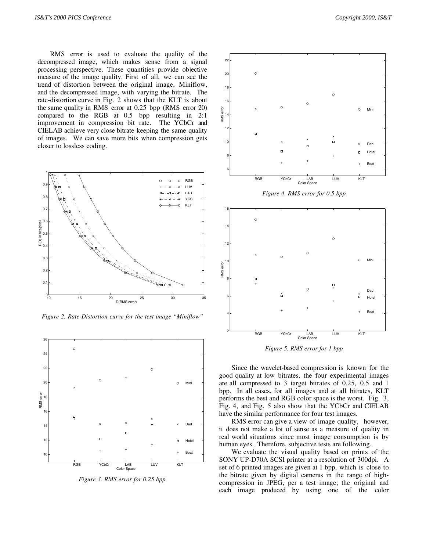RMS error is used to evaluate the quality of the decompressed image, which makes sense from a signal processing perspective. These quantities provide objective measure of the image quality. First of all, we can see the trend of distortion between the original image, Miniflow, and the decompressed image, with varying the bitrate. The rate-distortion curve in Fig. 2 shows that the KLT is about the same quality in RMS error at 0.25 bpp (RMS error 20) compared to the RGB at 0.5 bpp resulting in 2:1 improvement in compression bit rate. The YCbCr and CIELAB achieve very close bitrate keeping the same quality of images. We can save more bits when compression gets closer to lossless coding.



*Figure 2. Rate-Distortion curve for the test image "Miniflow"*



*Figure 3. RMS error for 0.25 bpp*



*Figure 5. RMS error for 1 bpp*

Since the wavelet-based compression is known for the good quality at low bitrates, the four experimental images are all compressed to 3 target bitrates of 0.25, 0.5 and 1 bpp. In all cases, for all images and at all bitrates, KLT performs the best and RGB color space is the worst. Fig. 3, Fig. 4, and Fig. 5 also show that the YCbCr and CIELAB have the similar performance for four test images.

RMS error can give a view of image quality, however, it does not make a lot of sense as a measure of quality in real world situations since most image consumption is by human eyes. Therefore, subjective tests are following.

We evaluate the visual quality based on prints of the SONY UP-D70A SCSI printer at a resolution of 300dpi. A set of 6 printed images are given at 1 bpp, which is close to the bitrate given by digital cameras in the range of highcompression in JPEG, per a test image; the original and each image produced by using one of the color